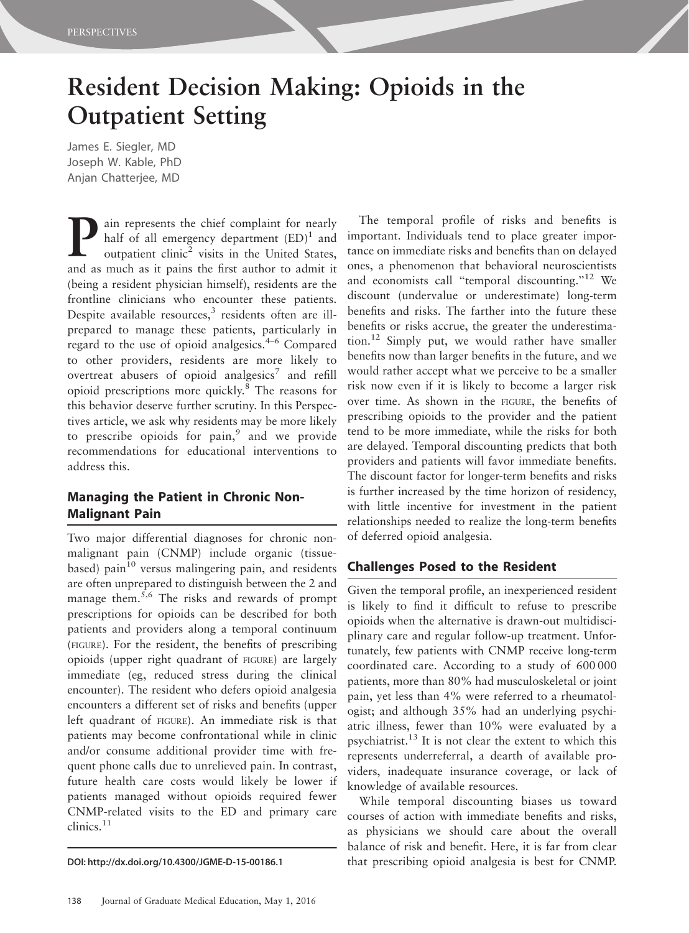# Resident Decision Making: Opioids in the Outpatient Setting

James E. Siegler, MD Joseph W. Kable, PhD Anjan Chatterjee, MD

**Pain represents the chief complaint for nearly half of all emergency department**  $(ED)^1$  **and outpatient clinic<sup>2</sup> visits in the United States,** half of all emergency department  $(ED)^1$  and outpatient clinic<sup>2</sup> visits in the United States, and as much as it pains the first author to admit it (being a resident physician himself), residents are the frontline clinicians who encounter these patients. Despite available resources, $3$  residents often are illprepared to manage these patients, particularly in regard to the use of opioid analgesics.4–6 Compared to other providers, residents are more likely to overtreat abusers of opioid analgesics<sup>7</sup> and refill opioid prescriptions more quickly.<sup>8</sup> The reasons for this behavior deserve further scrutiny. In this Perspectives article, we ask why residents may be more likely to prescribe opioids for pain, $9$  and we provide recommendations for educational interventions to address this.

# Managing the Patient in Chronic Non-Malignant Pain

Two major differential diagnoses for chronic nonmalignant pain (CNMP) include organic (tissuebased) pain<sup>10</sup> versus malingering pain, and residents are often unprepared to distinguish between the 2 and manage them.<sup>5,6</sup> The risks and rewards of prompt prescriptions for opioids can be described for both patients and providers along a temporal continuum (FIGURE). For the resident, the benefits of prescribing opioids (upper right quadrant of FIGURE) are largely immediate (eg, reduced stress during the clinical encounter). The resident who defers opioid analgesia encounters a different set of risks and benefits (upper left quadrant of FIGURE). An immediate risk is that patients may become confrontational while in clinic and/or consume additional provider time with frequent phone calls due to unrelieved pain. In contrast, future health care costs would likely be lower if patients managed without opioids required fewer CNMP-related visits to the ED and primary care clinics.<sup>11</sup>

The temporal profile of risks and benefits is important. Individuals tend to place greater importance on immediate risks and benefits than on delayed ones, a phenomenon that behavioral neuroscientists and economists call "temporal discounting."<sup>12</sup> We discount (undervalue or underestimate) long-term benefits and risks. The farther into the future these benefits or risks accrue, the greater the underestimation.12 Simply put, we would rather have smaller benefits now than larger benefits in the future, and we would rather accept what we perceive to be a smaller risk now even if it is likely to become a larger risk over time. As shown in the FIGURE, the benefits of prescribing opioids to the provider and the patient tend to be more immediate, while the risks for both are delayed. Temporal discounting predicts that both providers and patients will favor immediate benefits. The discount factor for longer-term benefits and risks is further increased by the time horizon of residency, with little incentive for investment in the patient relationships needed to realize the long-term benefits of deferred opioid analgesia.

# Challenges Posed to the Resident

Given the temporal profile, an inexperienced resident is likely to find it difficult to refuse to prescribe opioids when the alternative is drawn-out multidisciplinary care and regular follow-up treatment. Unfortunately, few patients with CNMP receive long-term coordinated care. According to a study of 600 000 patients, more than 80% had musculoskeletal or joint pain, yet less than 4% were referred to a rheumatologist; and although 35% had an underlying psychiatric illness, fewer than 10% were evaluated by a psychiatrist.13 It is not clear the extent to which this represents underreferral, a dearth of available providers, inadequate insurance coverage, or lack of knowledge of available resources.

While temporal discounting biases us toward courses of action with immediate benefits and risks, as physicians we should care about the overall balance of risk and benefit. Here, it is far from clear DOI: http://dx.doi.org/10.4300/JGME-D-15-00186.1 that prescribing opioid analgesia is best for CNMP.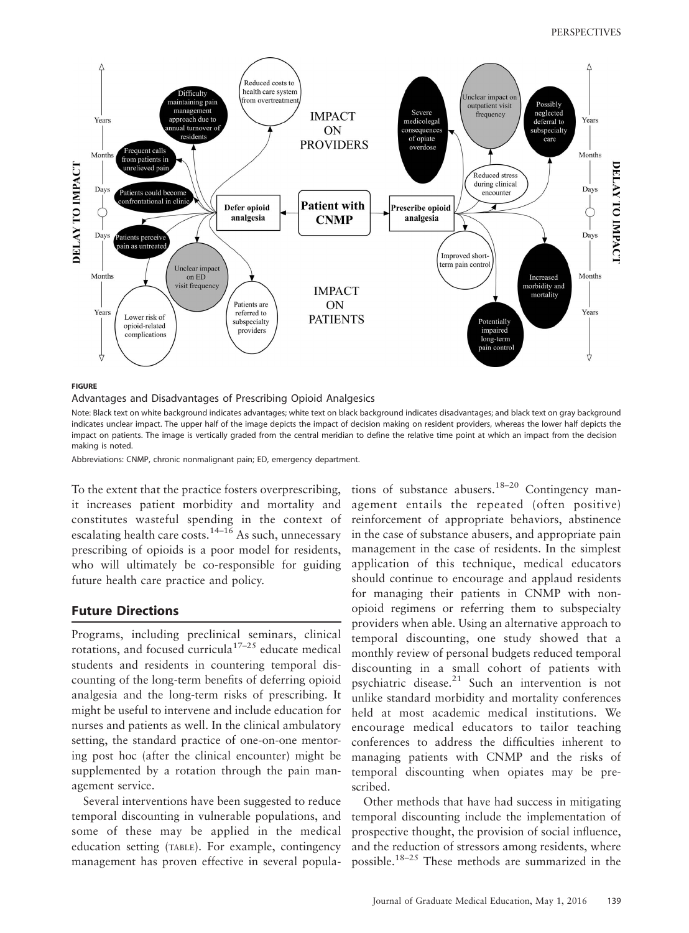

#### **FIGURE**

Advantages and Disadvantages of Prescribing Opioid Analgesics

Note: Black text on white background indicates advantages; white text on black background indicates disadvantages; and black text on gray background indicates unclear impact. The upper half of the image depicts the impact of decision making on resident providers, whereas the lower half depicts the impact on patients. The image is vertically graded from the central meridian to define the relative time point at which an impact from the decision making is noted.

Abbreviations: CNMP, chronic nonmalignant pain; ED, emergency department.

To the extent that the practice fosters overprescribing, it increases patient morbidity and mortality and constitutes wasteful spending in the context of escalating health care costs.14–16 As such, unnecessary prescribing of opioids is a poor model for residents, who will ultimately be co-responsible for guiding future health care practice and policy.

### Future Directions

Programs, including preclinical seminars, clinical rotations, and focused curricula<sup>17–25</sup> educate medical students and residents in countering temporal discounting of the long-term benefits of deferring opioid analgesia and the long-term risks of prescribing. It might be useful to intervene and include education for nurses and patients as well. In the clinical ambulatory setting, the standard practice of one-on-one mentoring post hoc (after the clinical encounter) might be supplemented by a rotation through the pain management service.

Several interventions have been suggested to reduce temporal discounting in vulnerable populations, and some of these may be applied in the medical education setting (TABLE). For example, contingency management has proven effective in several populations of substance abusers.<sup>18–20</sup> Contingency management entails the repeated (often positive) reinforcement of appropriate behaviors, abstinence in the case of substance abusers, and appropriate pain management in the case of residents. In the simplest application of this technique, medical educators should continue to encourage and applaud residents for managing their patients in CNMP with nonopioid regimens or referring them to subspecialty providers when able. Using an alternative approach to temporal discounting, one study showed that a monthly review of personal budgets reduced temporal discounting in a small cohort of patients with psychiatric disease.<sup>21</sup> Such an intervention is not unlike standard morbidity and mortality conferences held at most academic medical institutions. We encourage medical educators to tailor teaching conferences to address the difficulties inherent to managing patients with CNMP and the risks of temporal discounting when opiates may be prescribed.

Other methods that have had success in mitigating temporal discounting include the implementation of prospective thought, the provision of social influence, and the reduction of stressors among residents, where possible.18–25 These methods are summarized in the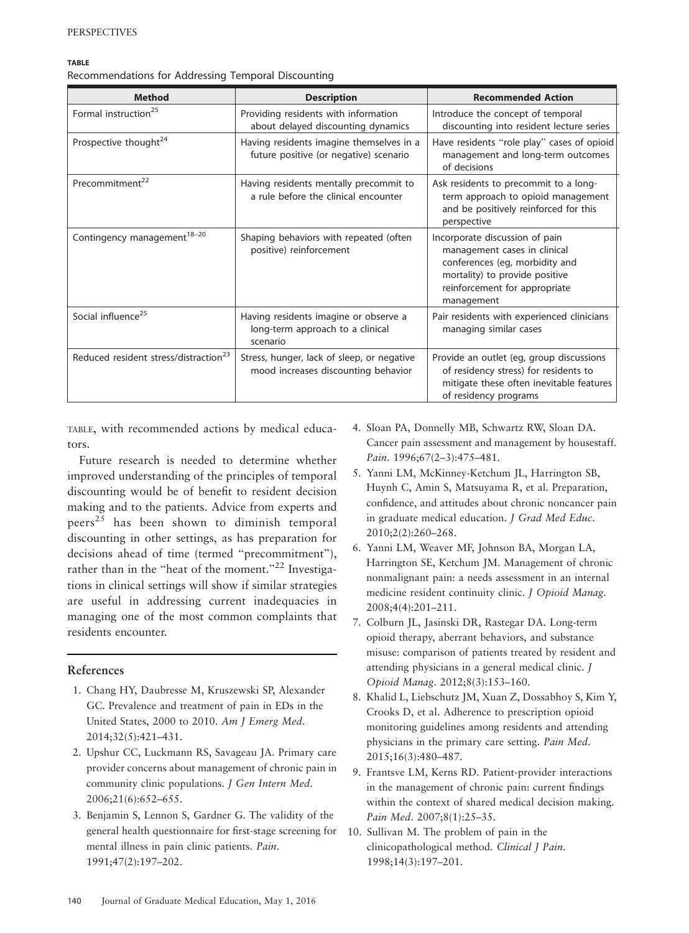#### **TABLE**

Recommendations for Addressing Temporal Discounting

| <b>Method</b>                                     | <b>Description</b>                                                                    | <b>Recommended Action</b>                                                                                                                                                         |
|---------------------------------------------------|---------------------------------------------------------------------------------------|-----------------------------------------------------------------------------------------------------------------------------------------------------------------------------------|
| Formal instruction <sup>25</sup>                  | Providing residents with information<br>about delayed discounting dynamics            | Introduce the concept of temporal<br>discounting into resident lecture series                                                                                                     |
| Prospective thought <sup>24</sup>                 | Having residents imagine themselves in a<br>future positive (or negative) scenario    | Have residents "role play" cases of opioid<br>management and long-term outcomes<br>of decisions                                                                                   |
| Precommitment <sup>22</sup>                       | Having residents mentally precommit to<br>a rule before the clinical encounter        | Ask residents to precommit to a long-<br>term approach to opioid management<br>and be positively reinforced for this<br>perspective                                               |
| Contingency management <sup>18-20</sup>           | Shaping behaviors with repeated (often<br>positive) reinforcement                     | Incorporate discussion of pain<br>management cases in clinical<br>conferences (eg, morbidity and<br>mortality) to provide positive<br>reinforcement for appropriate<br>management |
| Social influence <sup>25</sup>                    | Having residents imagine or observe a<br>long-term approach to a clinical<br>scenario | Pair residents with experienced clinicians<br>managing similar cases                                                                                                              |
| Reduced resident stress/distraction <sup>23</sup> | Stress, hunger, lack of sleep, or negative<br>mood increases discounting behavior     | Provide an outlet (eg, group discussions<br>of residency stress) for residents to<br>mitigate these often inevitable features<br>of residency programs                            |

TABLE, with recommended actions by medical educators.

Future research is needed to determine whether improved understanding of the principles of temporal discounting would be of benefit to resident decision making and to the patients. Advice from experts and peers<sup>25</sup> has been shown to diminish temporal discounting in other settings, as has preparation for decisions ahead of time (termed ''precommitment''), rather than in the "heat of the moment."<sup>22</sup> Investigations in clinical settings will show if similar strategies are useful in addressing current inadequacies in managing one of the most common complaints that residents encounter.

## References

- 1. Chang HY, Daubresse M, Kruszewski SP, Alexander GC. Prevalence and treatment of pain in EDs in the United States, 2000 to 2010. Am J Emerg Med. 2014;32(5):421–431.
- 2. Upshur CC, Luckmann RS, Savageau JA. Primary care provider concerns about management of chronic pain in community clinic populations. J Gen Intern Med. 2006;21(6):652–655.
- 3. Benjamin S, Lennon S, Gardner G. The validity of the general health questionnaire for first-stage screening for mental illness in pain clinic patients. Pain. 1991;47(2):197–202.
- 4. Sloan PA, Donnelly MB, Schwartz RW, Sloan DA. Cancer pain assessment and management by housestaff. Pain. 1996;67(2–3):475–481.
- 5. Yanni LM, McKinney-Ketchum JL, Harrington SB, Huynh C, Amin S, Matsuyama R, et al. Preparation, confidence, and attitudes about chronic noncancer pain in graduate medical education. J Grad Med Educ. 2010;2(2):260–268.
- 6. Yanni LM, Weaver MF, Johnson BA, Morgan LA, Harrington SE, Ketchum JM. Management of chronic nonmalignant pain: a needs assessment in an internal medicine resident continuity clinic. J Opioid Manag. 2008;4(4):201–211.
- 7. Colburn JL, Jasinski DR, Rastegar DA. Long-term opioid therapy, aberrant behaviors, and substance misuse: comparison of patients treated by resident and attending physicians in a general medical clinic. J Opioid Manag. 2012;8(3):153–160.
- 8. Khalid L, Liebschutz JM, Xuan Z, Dossabhoy S, Kim Y, Crooks D, et al. Adherence to prescription opioid monitoring guidelines among residents and attending physicians in the primary care setting. Pain Med. 2015;16(3):480–487.
- 9. Frantsve LM, Kerns RD. Patient-provider interactions in the management of chronic pain: current findings within the context of shared medical decision making. Pain Med. 2007;8(1):25–35.
- 10. Sullivan M. The problem of pain in the clinicopathological method. Clinical J Pain. 1998;14(3):197–201.